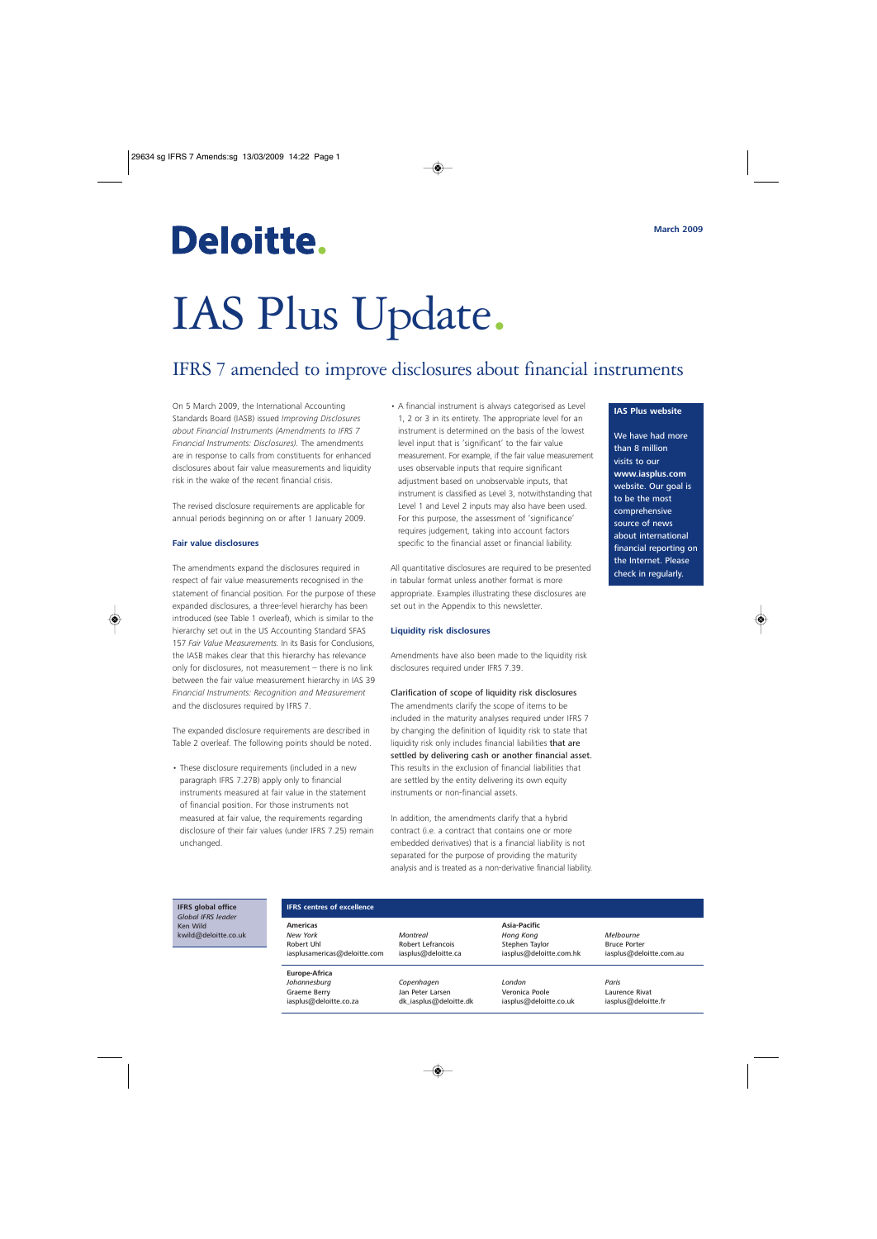## Deloitte.

# IAS Plus Update.

### IFRS 7 amended to improve disclosures about financial instruments

On 5 March 2009, the International Accounting Standards Board (IASB) issued *Improving Disclosures about Financial Instruments (Amendments to IFRS 7 Financial Instruments: Disclosures).* The amendments are in response to calls from constituents for enhanced disclosures about fair value measurements and liquidity risk in the wake of the recent financial crisis.

The revised disclosure requirements are applicable for annual periods beginning on or after 1 January 2009.

#### **Fair value disclosures**

The amendments expand the disclosures required in respect of fair value measurements recognised in the statement of financial position. For the purpose of these expanded disclosures, a three-level hierarchy has been introduced (see Table 1 overleaf), which is similar to the hierarchy set out in the US Accounting Standard SFAS 157 *Fair Value Measurements.* In its Basis for Conclusions, the IASB makes clear that this hierarchy has relevance only for disclosures, not measurement – there is no link between the fair value measurement hierarchy in IAS 39 *Financial Instruments: Recognition and Measurement* and the disclosures required by IFRS 7.

The expanded disclosure requirements are described in Table 2 overleaf. The following points should be noted.

• These disclosure requirements (included in a new paragraph IFRS 7.27B) apply only to financial instruments measured at fair value in the statement of financial position. For those instruments not measured at fair value, the requirements regarding disclosure of their fair values (under IFRS 7.25) remain unchanged.

• A financial instrument is always categorised as Level 1, 2 or 3 in its entirety. The appropriate level for an instrument is determined on the basis of the lowest level input that is 'significant' to the fair value measurement. For example, if the fair value measurement uses observable inputs that require significant adjustment based on unobservable inputs, that instrument is classified as Level 3, notwithstanding that Level 1 and Level 2 inputs may also have been used. For this purpose, the assessment of 'significance' requires judgement, taking into account factors specific to the financial asset or financial liability.

All quantitative disclosures are required to be presented in tabular format unless another format is more appropriate. Examples illustrating these disclosures are set out in the Appendix to this newsletter.

#### **Liquidity risk disclosures**

Amendments have also been made to the liquidity risk disclosures required under IFRS 7.39.

Clarification of scope of liquidity risk disclosures The amendments clarify the scope of items to be included in the maturity analyses required under IFRS 7 by changing the definition of liquidity risk to state that liquidity risk only includes financial liabilities that are settled by delivering cash or another financial asset. This results in the exclusion of financial liabilities that are settled by the entity delivering its own equity instruments or non-financial assets.

In addition, the amendments clarify that a hybrid contract (i.e. a contract that contains one or more embedded derivatives) that is a financial liability is not separated for the purpose of providing the maturity analysis and is treated as a non-derivative financial liability.

#### **IAS Plus website**

We have had more than 8 million visits to our **www.iasplus.com** website. Our goal is to be the most comprehensive source of news about international financial reporting on the Internet. Please check in regularly.

**IFRS global office** *Global IFRS leader* Ken Wild kwild@deloitte.co.uk

| <b>IFRS</b> centres of excellence             |                                            |                                             |                                       |
|-----------------------------------------------|--------------------------------------------|---------------------------------------------|---------------------------------------|
| <b>Americas</b><br>New York<br>Robert Uhl     | Montreal<br>Robert Lefrancois              | Asia-Pacific<br>Hong Kong<br>Stephen Taylor | Melbourne<br><b>Bruce Porter</b>      |
| iasplusamericas@deloitte.com<br>Europe-Africa | iasplus@deloitte.ca                        | iasplus@deloitte.com.hk                     | iasplus@deloitte.com.au               |
| Johannesburg                                  | Copenhagen                                 | London                                      | Paris                                 |
| <b>Graeme Berry</b><br>iasplus@deloitte.co.za | Jan Peter Larsen<br>dk iasplus@deloitte.dk | Veronica Poole<br>iasplus@deloitte.co.uk    | Laurence Rivat<br>iasplus@deloitte.fr |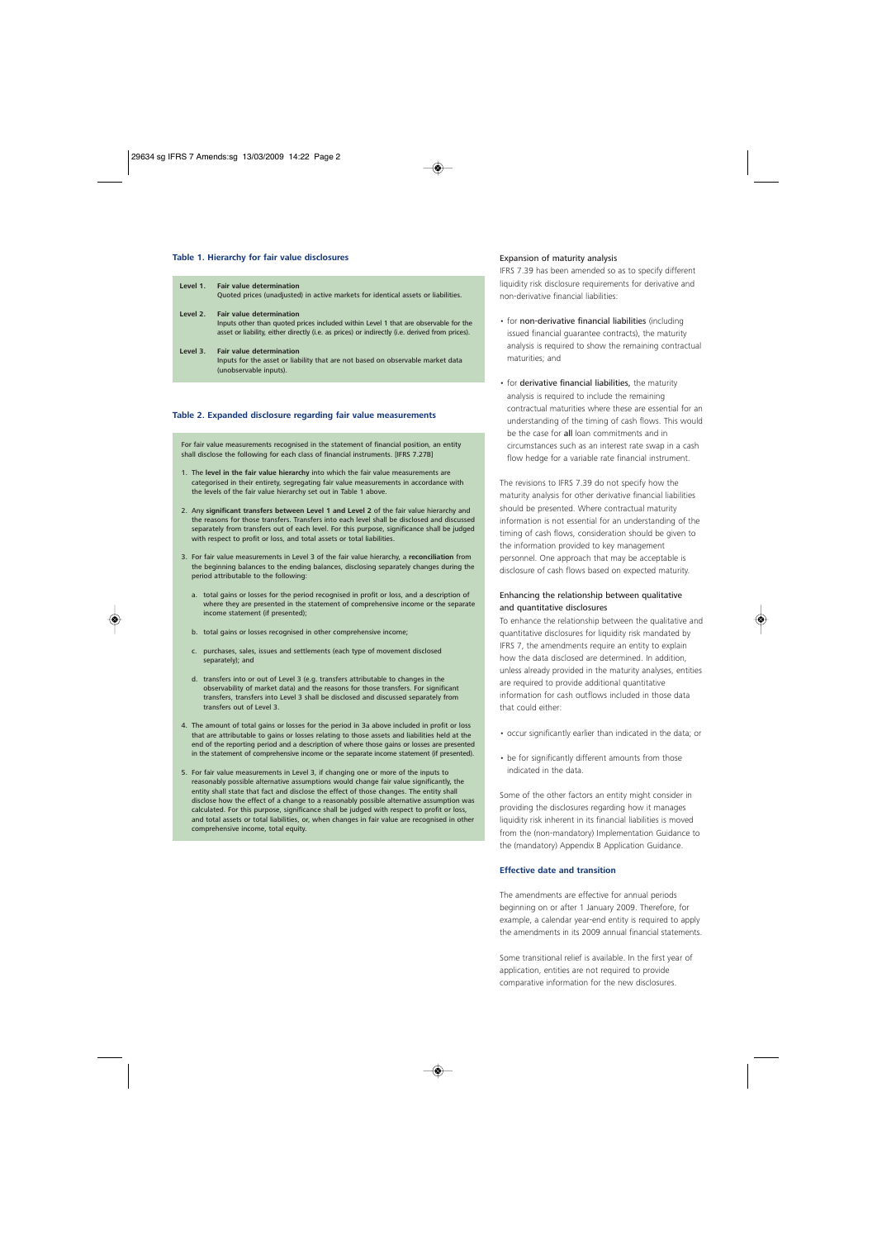#### **Table 1. Hierarchy for fair value disclosures**

| Level 1. | <b>Fair value determination</b><br>Quoted prices (unadjusted) in active markets for identical assets or liabilities.                                                                                                     |
|----------|--------------------------------------------------------------------------------------------------------------------------------------------------------------------------------------------------------------------------|
| Level 2. | <b>Fair value determination</b><br>Inputs other than quoted prices included within Level 1 that are observable for the<br>asset or liability, either directly (i.e. as prices) or indirectly (i.e. derived from prices). |
| Level 3. | <b>Fair value determination</b><br>Inputs for the asset or liability that are not based on observable market data<br>(unobservable inputs).                                                                              |

#### **Table 2. Expanded disclosure regarding fair value measurements**

For fair value measurements recognised in the statement of financial position, an entity shall disclose the following for each class of financial instruments. [IFRS 7.27B]

- 1. The **level in the fair value hierarchy** into which the fair value measurements are categorised in their entirety, segregating fair value measurements in accordance with the levels of the fair value hierarchy set out in Table 1 above.
- 2. Any **significant transfers between Level 1 and Level 2** of the fair value hierarchy and the reasons for those transfers. Transfers into each level shall be disclosed and discussed separately from transfers out of each level. For this purpose, significance shall be judged with respect to profit or loss, and total assets or total liabilities.
- 3. For fair value measurements in Level 3 of the fair value hierarchy, a **reconciliation** from the beginning balances to the ending balances, disclosing separately changes during the period attributable to the following:
	- a. total gains or losses for the period recognised in profit or loss, and a description of where they are presented in the statement of comprehensive income or the separate income statement (if presented);
	- b. total gains or losses recognised in other comprehensive income;
	- c. purchases, sales, issues and settlements (each type of movement disclosed separately); and
	- d. transfers into or out of Level 3 (e.g. transfers attributable to changes in the observability of market data) and the reasons for those transfers. For significant transfers, transfers into Level 3 shall be disclosed and discussed separately from transfers out of Level 3.
- 4. The amount of total gains or losses for the period in 3a above included in profit or loss that are attributable to gains or losses relating to those assets and liabilities held at the end of the reporting period and a description of where those gains or losses are presented in the statement of comprehensive income or the separate income statement (if presented).
- 5. For fair value measurements in Level 3, if changing one or more of the inputs to reasonably possible alternative assumptions would change fair value significantly, the entity shall state that fact and disclose the effect of those changes. The entity shall disclose how the effect of a change to a reasonably possible alternative assumption was calculated. For this purpose, significance shall be judged with respect to profit or loss, and total assets or total liabilities, or, when changes in fair value are recognised in other comprehensive income, total equity.

#### Expansion of maturity analysis

IFRS 7.39 has been amended so as to specify different liquidity risk disclosure requirements for derivative and non-derivative financial liabilities:

- for non-derivative financial liabilities (including issued financial guarantee contracts), the maturity analysis is required to show the remaining contractual maturities; and
- for derivative financial liabilities, the maturity analysis is required to include the remaining contractual maturities where these are essential for an understanding of the timing of cash flows. This would be the case for all loan commitments and in circumstances such as an interest rate swap in a cash flow hedge for a variable rate financial instrument.

The revisions to IFRS 7.39 do not specify how the maturity analysis for other derivative financial liabilities should be presented. Where contractual maturity information is not essential for an understanding of the timing of cash flows, consideration should be given to the information provided to key management personnel. One approach that may be acceptable is disclosure of cash flows based on expected maturity.

#### Enhancing the relationship between qualitative and quantitative disclosures

To enhance the relationship between the qualitative and quantitative disclosures for liquidity risk mandated by IFRS 7, the amendments require an entity to explain how the data disclosed are determined. In addition, unless already provided in the maturity analyses, entities are required to provide additional quantitative information for cash outflows included in those data that could either:

- occur significantly earlier than indicated in the data; or
- be for significantly different amounts from those indicated in the data.

Some of the other factors an entity might consider in providing the disclosures regarding how it manages liquidity risk inherent in its financial liabilities is moved from the (non-mandatory) Implementation Guidance to the (mandatory) Appendix B Application Guidance.

#### **Effective date and transition**

The amendments are effective for annual periods beginning on or after 1 January 2009. Therefore, for example, a calendar year-end entity is required to apply the amendments in its 2009 annual financial statements.

Some transitional relief is available. In the first year of application, entities are not required to provide comparative information for the new disclosures.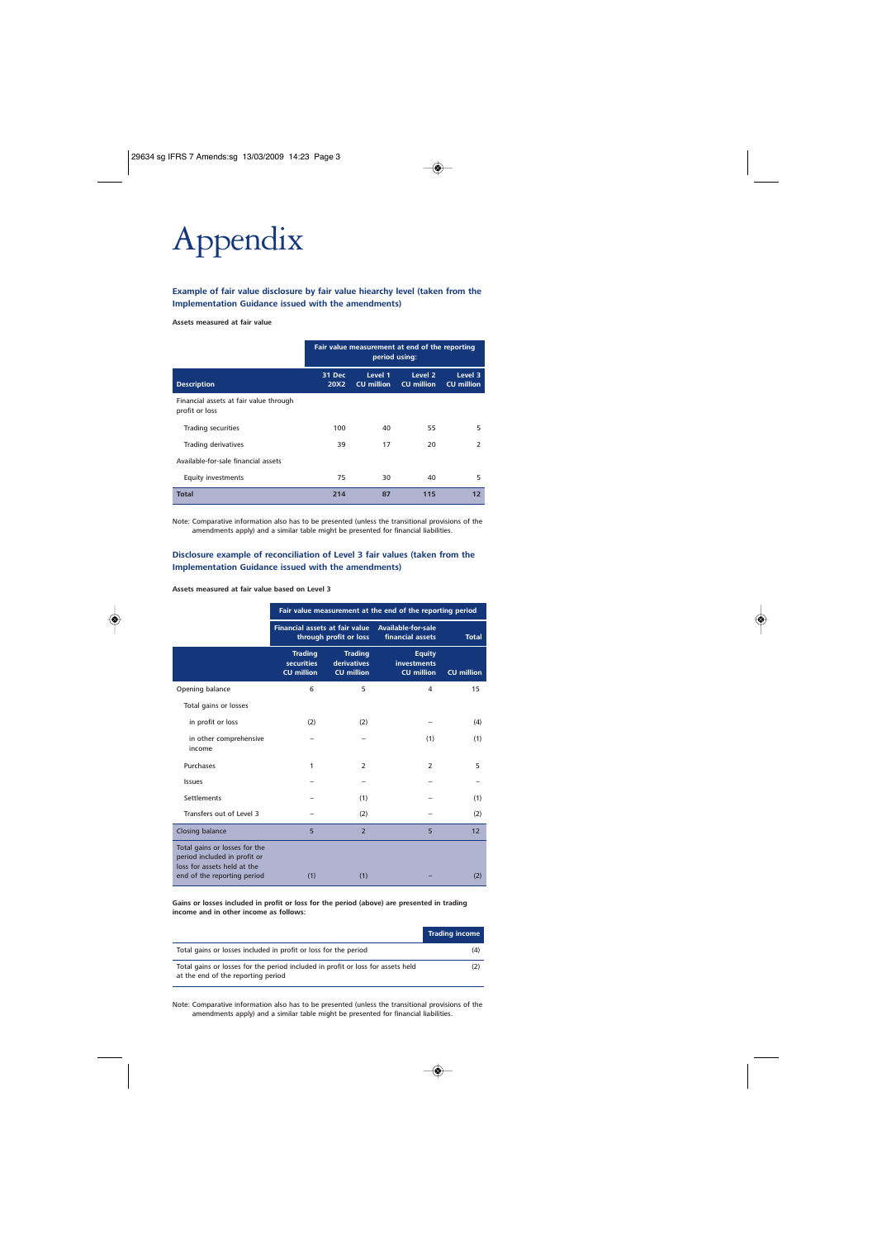## Appendix

#### **Example of fair value disclosure by fair value hiearchy level (taken from the Implementation Guidance issued with the amendments)**

#### **Assets measured at fair value**

|                                                          | Fair value measurement at end of the reporting<br>period using: |                              |                                         |                              |
|----------------------------------------------------------|-----------------------------------------------------------------|------------------------------|-----------------------------------------|------------------------------|
| <b>Description</b>                                       | 31 Dec<br>20X2                                                  | Level 1<br><b>CU</b> million | Level <sub>2</sub><br><b>CU</b> million | Level 3<br><b>CU</b> million |
| Financial assets at fair value through<br>profit or loss |                                                                 |                              |                                         |                              |
| <b>Trading securities</b>                                | 100                                                             | 40                           | 55                                      | 5                            |
| Trading derivatives                                      | 39                                                              | 17                           | 20                                      | $\overline{2}$               |
| Available-for-sale financial assets                      |                                                                 |                              |                                         |                              |
| <b>Equity investments</b>                                | 75                                                              | 30                           | 40                                      | 5                            |
| <b>Total</b>                                             | 214                                                             | 87                           | 115                                     | 12                           |

Note: Comparative information also has to be presented (unless the transitional provisions of the amendments apply) and a similar table might be presented for financial liabilities.

#### **Disclosure example of reconciliation of Level 3 fair values (taken from the Implementation Guidance issued with the amendments)**

#### **Assets measured at fair value based on Level 3**

|                                                                                                                             | Fair value measurement at the end of the reporting period       |                                                           |                                                          |                   |  |
|-----------------------------------------------------------------------------------------------------------------------------|-----------------------------------------------------------------|-----------------------------------------------------------|----------------------------------------------------------|-------------------|--|
|                                                                                                                             | <b>Financial assets at fair value</b><br>through profit or loss |                                                           | Available-for-sale<br>financial assets                   | <b>Total</b>      |  |
|                                                                                                                             | <b>Trading</b><br><b>securities</b><br><b>CU million</b>        | <b>Trading</b><br><b>derivatives</b><br><b>CU million</b> | <b>Equity</b><br><b>investments</b><br><b>CU million</b> | <b>CU million</b> |  |
| Opening balance                                                                                                             | 6                                                               | 5                                                         | $\overline{4}$                                           | 15                |  |
| Total gains or losses                                                                                                       |                                                                 |                                                           |                                                          |                   |  |
| in profit or loss                                                                                                           | (2)                                                             | (2)                                                       |                                                          | (4)               |  |
| in other comprehensive<br>income                                                                                            |                                                                 |                                                           | (1)                                                      | (1)               |  |
| Purchases                                                                                                                   | 1                                                               | $\overline{2}$                                            | $\overline{2}$                                           | 5                 |  |
| Issues                                                                                                                      |                                                                 |                                                           |                                                          |                   |  |
| <b>Settlements</b>                                                                                                          |                                                                 | (1)                                                       |                                                          | (1)               |  |
| Transfers out of Level 3                                                                                                    |                                                                 | (2)                                                       |                                                          | (2)               |  |
| <b>Closing balance</b>                                                                                                      | 5                                                               | $\overline{2}$                                            | 5                                                        | 12                |  |
| Total gains or losses for the<br>period included in profit or<br>loss for assets held at the<br>end of the reporting period | (1)                                                             | (1)                                                       |                                                          | (2)               |  |

**Gains or losses included in profit or loss for the period (above) are presented in trading income and in other income as follows:**

|                                                                                                                       | <b>Trading income</b> |
|-----------------------------------------------------------------------------------------------------------------------|-----------------------|
| Total gains or losses included in profit or loss for the period                                                       | (4)                   |
| Total gains or losses for the period included in profit or loss for assets held<br>at the end of the reporting period |                       |

Note: Comparative information also has to be presented (unless the transitional provisions of the amendments apply) and a similar table might be presented for financial liabilities.